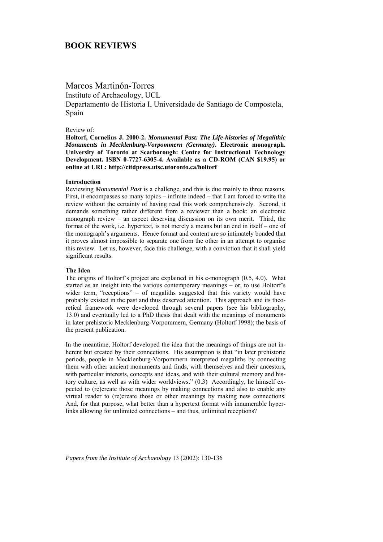# **BOOK REVIEWS**

# Marcos Martinón-Torres

Institute of Archaeology, UCL

Departamento de Historia I, Universidade de Santiago de Compostela, Spain

### Review of:

**Holtorf, Cornelius J. 2000-2.** *Monumental Past: The Life-histories of Megalithic Monuments in Mecklenburg-Vorpommern (Germany)***. Electronic monograph. University of Toronto at Scarborough: Centre for Instructional Technology Development. ISBN 0-7727-6305-4. Available as a CD-ROM (CAN \$19.95) or online at URL: http://citdpress.utsc.utoronto.ca/holtorf** 

#### **Introduction**

Reviewing *Monumental Past* is a challenge, and this is due mainly to three reasons. First, it encompasses so many topics – infinite indeed – that I am forced to write the review without the certainty of having read this work comprehensively. Second, it demands something rather different from a reviewer than a book: an electronic monograph review – an aspect deserving discussion on its own merit. Third, the format of the work, i.e. hypertext, is not merely a means but an end in itself – one of the monograph's arguments. Hence format and content are so intimately bonded that it proves almost impossible to separate one from the other in an attempt to organise this review. Let us, however, face this challenge, with a conviction that it shall yield significant results.

#### **The Idea**

The origins of Holtorf's project are explained in his e-monograph (0.5, 4.0). What started as an insight into the various contemporary meanings – or, to use Holtorf's wider term, "receptions" – of megaliths suggested that this variety would have probably existed in the past and thus deserved attention. This approach and its theoretical framework were developed through several papers (see his bibliography, 13.0) and eventually led to a PhD thesis that dealt with the meanings of monuments in later prehistoric Mecklenburg-Vorpommern, Germany (Holtorf 1998); the basis of the present publication.

In the meantime, Holtorf developed the idea that the meanings of things are not inherent but created by their connections. His assumption is that "in later prehistoric periods, people in Mecklenburg-Vorpommern interpreted megaliths by connecting them with other ancient monuments and finds, with themselves and their ancestors, with particular interests, concepts and ideas, and with their cultural memory and history culture, as well as with wider worldviews." (0.3) Accordingly, he himself expected to (re)create those meanings by making connections and also to enable any virtual reader to (re)create those or other meanings by making new connections. And, for that purpose, what better than a hypertext format with innumerable hyperlinks allowing for unlimited connections – and thus, unlimited receptions?

*Papers from the Institute of Archaeology* 13 (2002): 130-136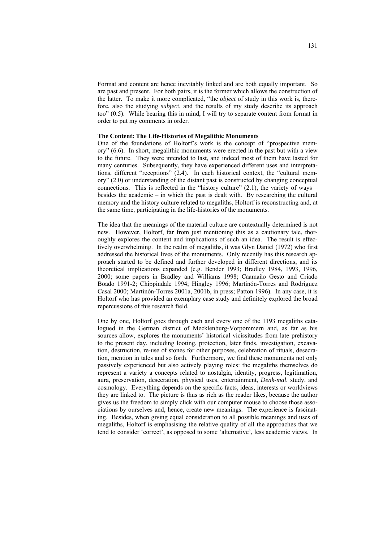Format and content are hence inevitably linked and are both equally important. So are past and present. For both pairs, it is the former which allows the construction of the latter. To make it more complicated, "the *object* of study in this work is, therefore, also the studying *subjec*t, and the results of my study describe its approach too" (0.5). While bearing this in mind, I will try to separate content from format in order to put my comments in order.

#### **The Content: The Life-Histories of Megalithic Monuments**

One of the foundations of Holtorf's work is the concept of "prospective memory" (6.6). In short, megalithic monuments were erected in the past but with a view to the future. They were intended to last, and indeed most of them have lasted for many centuries. Subsequently, they have experienced different uses and interpretations, different "receptions" (2.4). In each historical context, the "cultural memory" (2.0) or understanding of the distant past is constructed by changing conceptual connections. This is reflected in the "history culture"  $(2.1)$ , the variety of ways – besides the academic – in which the past is dealt with. By researching the cultural memory and the history culture related to megaliths, Holtorf is reconstructing and, at the same time, participating in the life-histories of the monuments.

The idea that the meanings of the material culture are contextually determined is not new. However, Holtorf, far from just mentioning this as a cautionary tale, thoroughly explores the content and implications of such an idea. The result is effectively overwhelming. In the realm of megaliths, it was Glyn Daniel (1972) who first addressed the historical lives of the monuments. Only recently has this research approach started to be defined and further developed in different directions, and its theoretical implications expanded (e.g. Bender 1993; Bradley 1984, 1993, 1996, 2000; some papers in Bradley and Williams 1998; Caamaño Gesto and Criado Boado 1991-2; Chippindale 1994; Hingley 1996; Martinón-Torres and Rodríguez Casal 2000; Martinón-Torres 2001a, 2001b, in press; Patton 1996). In any case, it is Holtorf who has provided an exemplary case study and definitely explored the broad repercussions of this research field.

One by one, Holtorf goes through each and every one of the 1193 megaliths catalogued in the German district of Mecklenburg-Vorpommern and, as far as his sources allow, explores the monuments' historical vicissitudes from late prehistory to the present day, including looting, protection, later finds, investigation, excavation, destruction, re-use of stones for other purposes, celebration of rituals, desecration, mention in tales and so forth. Furthermore, we find these monuments not only passively experienced but also actively playing roles: the megaliths themselves do represent a variety a concepts related to nostalgia, identity, progress, legitimation, aura, preservation, desecration, physical uses, entertainment, *Denk-mal*, study, and cosmology. Everything depends on the specific facts, ideas, interests or worldviews they are linked to. The picture is thus as rich as the reader likes, because the author gives us the freedom to simply click with our computer mouse to choose those associations by ourselves and, hence, create new meanings. The experience is fascinating. Besides, when giving equal consideration to all possible meanings and uses of megaliths, Holtorf is emphasising the relative quality of all the approaches that we tend to consider 'correct', as opposed to some 'alternative', less academic views. In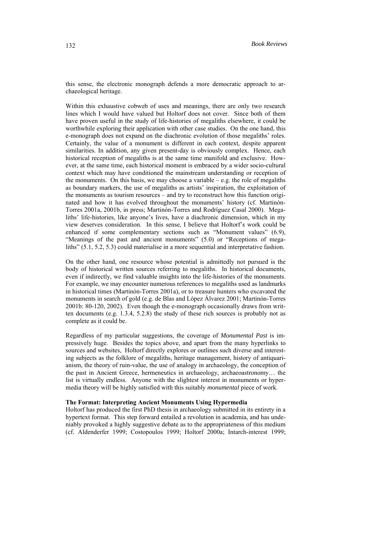this sense, the electronic monograph defends a more democratic approach to archaeological heritage.

Within this exhaustive cobweb of uses and meanings, there are only two research lines which I would have valued but Holtorf does not cover. Since both of them have proven useful in the study of life-histories of megaliths elsewhere, it could be worthwhile exploring their application with other case studies. On the one hand, this e-monograph does not expand on the diachronic evolution of those megaliths' roles. Certainly, the value of a monument is different in each context, despite apparent similarities. In addition, any given present-day is obviously complex. Hence, each historical reception of megaliths is at the same time manifold and exclusive. However, at the same time, each historical moment is embraced by a wider socio-cultural context which may have conditioned the mainstream understanding or reception of the monuments. On this basis, we may choose a variable  $-$  e.g. the role of megaliths as boundary markers, the use of megaliths as artists' inspiration, the exploitation of the monuments as tourism resources – and try to reconstruct how this function originated and how it has evolved throughout the monuments' history (cf. Martinón-Torres 2001a, 2001b, in press; Martinón-Torres and Rodríguez Casal 2000). Megaliths' life-histories, like anyone's lives, have a diachronic dimension, which in my view deserves consideration. In this sense, I believe that Holtorf's work could be enhanced if some complementary sections such as "Monument values" (6.9), "Meanings of the past and ancient monuments" (5.0) or "Receptions of megaliths" (5.1, 5.2, 5.3) could materialise in a more sequential and interpretative fashion.

On the other hand, one resource whose potential is admittedly not pursued is the body of historical written sources referring to megaliths. In historical documents, even if indirectly, we find valuable insights into the life-histories of the monuments. For example, we may encounter numerous references to megaliths used as landmarks in historical times (Martinón-Torres 2001a), or to treasure hunters who excavated the monuments in search of gold (e.g. de Blas and López Álvarez 2001; Martinón-Torres 2001b: 80-120, 2002). Even though the e-monograph occasionally draws from written documents (e.g. 1.3.4, 5.2.8) the study of these rich sources is probably not as complete as it could be.

Regardless of my particular suggestions, the coverage of *Monumental Past* is impressively huge. Besides the topics above, and apart from the many hyperlinks to sources and websites, Holtorf directly explores or outlines such diverse and interesting subjects as the folklore of megaliths, heritage management, history of antiquarianism, the theory of ruin-value, the use of analogy in archaeology, the conception of the past in Ancient Greece, hermeneutics in archaeology, archaeoastronomy… the list is virtually endless. Anyone with the slightest interest in monuments or hypermedia theory will be highly satisfied with this suitably *monumental* piece of work.

#### **The Format: Interpreting Ancient Monuments Using Hypermedia**

Holtorf has produced the first PhD thesis in archaeology submitted in its entirety in a hypertext format. This step forward entailed a revolution in academia, and has undeniably provoked a highly suggestive debate as to the appropriateness of this medium (cf. Aldenderfer 1999; Costopoulos 1999; Holtorf 2000a; Intarch-interest 1999;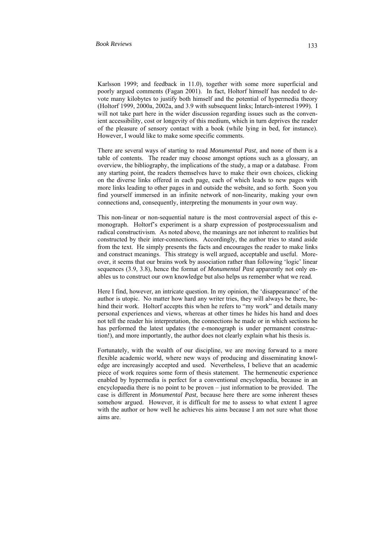Karlsson 1999; and feedback in 11.0), together with some more superficial and poorly argued comments (Fagan 2001). In fact, Holtorf himself has needed to devote many kilobytes to justify both himself and the potential of hypermedia theory (Holtorf 1999, 2000a, 2002a, and 3.9 with subsequent links; Intarch-interest 1999). I will not take part here in the wider discussion regarding issues such as the convenient accessibility, cost or longevity of this medium, which in turn deprives the reader of the pleasure of sensory contact with a book (while lying in bed, for instance). However, I would like to make some specific comments.

There are several ways of starting to read *Monumental Past*, and none of them is a table of contents. The reader may choose amongst options such as a glossary, an overview, the bibliography, the implications of the study, a map or a database. From any starting point, the readers themselves have to make their own choices, clicking on the diverse links offered in each page, each of which leads to new pages with more links leading to other pages in and outside the website, and so forth. Soon you find yourself immersed in an infinite network of non-linearity, making your own connections and, consequently, interpreting the monuments in your own way.

This non-linear or non-sequential nature is the most controversial aspect of this emonograph. Holtorf's experiment is a sharp expression of postprocessualism and radical constructivism. As noted above, the meanings are not inherent to realities but constructed by their inter-connections. Accordingly, the author tries to stand aside from the text. He simply presents the facts and encourages the reader to make links and construct meanings. This strategy is well argued, acceptable and useful. Moreover, it seems that our brains work by association rather than following 'logic' linear sequences (3.9, 3.8), hence the format of *Monumental Past* apparently not only enables us to construct our own knowledge but also helps us remember what we read.

Here I find, however, an intricate question. In my opinion, the 'disappearance' of the author is utopic. No matter how hard any writer tries, they will always be there, behind their work. Holtorf accepts this when he refers to "my work" and details many personal experiences and views, whereas at other times he hides his hand and does not tell the reader his interpretation, the connections he made or in which sections he has performed the latest updates (the e-monograph is under permanent construction!), and more importantly, the author does not clearly explain what his thesis is.

Fortunately, with the wealth of our discipline, we are moving forward to a more flexible academic world, where new ways of producing and disseminating knowledge are increasingly accepted and used. Nevertheless, I believe that an academic piece of work requires some form of thesis statement. The hermeneutic experience enabled by hypermedia is perfect for a conventional encyclopaedia, because in an encyclopaedia there is no point to be proven – just information to be provided. The case is different in *Monumental Past,* because here there are some inherent theses somehow argued. However, it is difficult for me to assess to what extent I agree with the author or how well he achieves his aims because I am not sure what those aims are.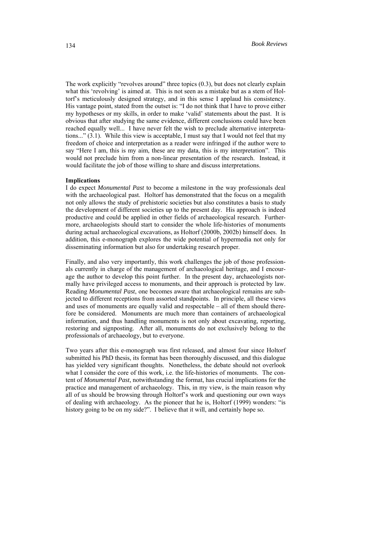The work explicitly "revolves around" three topics (0.3), but does not clearly explain what this 'revolving' is aimed at. This is not seen as a mistake but as a stem of Holtorf's meticulously designed strategy, and in this sense I applaud his consistency. His vantage point, stated from the outset is: "I do not think that I have to prove either my hypotheses or my skills, in order to make 'valid' statements about the past. It is obvious that after studying the same evidence, different conclusions could have been reached equally well... I have never felt the wish to preclude alternative interpretations..." (3.1). While this view is acceptable, I must say that I would not feel that my freedom of choice and interpretation as a reader were infringed if the author were to say "Here I am, this is my aim, these are my data, this is my interpretation". This would not preclude him from a non-linear presentation of the research. Instead, it would facilitate the job of those willing to share and discuss interpretations.

## **Implications**

I do expect *Monumental Past* to become a milestone in the way professionals deal with the archaeological past. Holtorf has demonstrated that the focus on a megalith not only allows the study of prehistoric societies but also constitutes a basis to study the development of different societies up to the present day. His approach is indeed productive and could be applied in other fields of archaeological research. Furthermore, archaeologists should start to consider the whole life-histories of monuments during actual archaeological excavations, as Holtorf (2000b, 2002b) himself does. In addition, this e-monograph explores the wide potential of hypermedia not only for disseminating information but also for undertaking research proper.

Finally, and also very importantly, this work challenges the job of those professionals currently in charge of the management of archaeological heritage, and I encourage the author to develop this point further. In the present day, archaeologists normally have privileged access to monuments, and their approach is protected by law. Reading *Monumental Past*, one becomes aware that archaeological remains are subjected to different receptions from assorted standpoints. In principle, all these views and uses of monuments are equally valid and respectable – all of them should therefore be considered. Monuments are much more than containers of archaeological information, and thus handling monuments is not only about excavating, reporting, restoring and signposting. After all, monuments do not exclusively belong to the professionals of archaeology, but to everyone.

Two years after this e-monograph was first released, and almost four since Holtorf submitted his PhD thesis, its format has been thoroughly discussed, and this dialogue has yielded very significant thoughts. Nonetheless, the debate should not overlook what I consider the core of this work, i.e. the life-histories of monuments. The content of *Monumental Past*, notwithstanding the format, has crucial implications for the practice and management of archaeology. This, in my view, is the main reason why all of us should be browsing through Holtorf's work and questioning our own ways of dealing with archaeology. As the pioneer that he is, Holtorf (1999) wonders: "is history going to be on my side?". I believe that it will, and certainly hope so.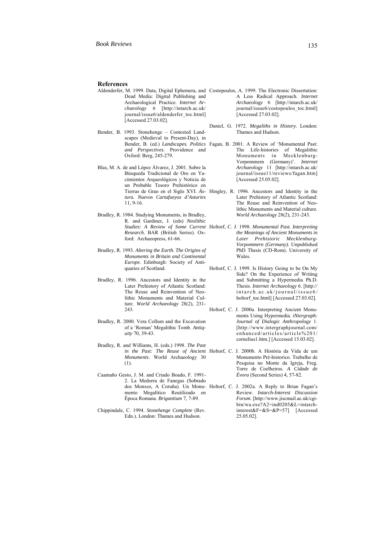- Aldenderfer, M. 1999. Data, Digital Ephemera, and Costopoulos, A. 1999. The Electronic Dissertation: Dead Media: Digital Publishing and Archaeological Practice. *Internet Archaeology* 6 [http://intarch.ac.uk/ journal/issue6/aldenderfer\_toc.html] [Accessed 27.03.02].
- Bender, B. 1993. Stonehenge Contested Landscapes (Medieval to Present-Day), in *and Perspectives*. Providence and Oxford: Berg, 245-279.
- Blas, M. A. de and López Álvarez, J. 2001. Sobre la Búsqueda Tradicional de Oro en Yacimientos Arqueológicos y Noticia de un Probable Tesoro Prehistórico en *tura. Nuevos Cartafueyos d'Asturies*  11, 9-16.
- Bradley, R. 1984. Studying Monuments, in Bradley, R. and Gardiner, J. (eds) *Neolithic Research*. BAR (British Series). Oxford: Archaeopress, 61-66.
- Bradley, R. 1993. *Altering the Earth. The Origins of Monuments in Britain and Continental Europe.* Edinburgh: Society of Antiquaries of Scotland.
- Bradley, R. 1996. Ancestors and Identity in the Later Prehistory of Atlantic Scotland: The Reuse and Reinvention of Neolithic Monuments and Material Culture. *World Archaeology* 28(2), 231- 243.
- Bradley, R. 2000. Vera Collum and the Excavation of a 'Roman' Megalithic Tomb. *Antiquity* 70, 39-43.
- Bradley, R. and Williams, H. (eds.) 1998. *The Past in the Past: The Reuse of Ancient Monuments*. World Archaeology 30 (1).
- Caamaño Gesto, J. M. and Criado Boado, F. 1991- 2. La Medorra de Fanegas (Sobrado dos Monxes, A Coruña). Un Monu-Holtorf, C. J. 2002a. A Reply to Brian Fagan's mento Megalítico Reutilizado en Época Romana. *Brigantium* 7, 7-89.
- Chippindale, C. 1994. *Stonehenge Complete* (Rev. Edn.)*.* London: Thames and Hudson.
- A Less Radical Approach. *Internet Archaeology* 6 [http://intarch.ac.uk/ journal/issue6/costopoulos\_toc.html] [Accessed 27.03.02].
- Daniel, G. 1972. *Megaliths in History.* London: Thames and Hudson.
- Bender, B. (ed.) *Landscapes. Politics*  Fagan, B. 2001. A Review of 'Monumental Past: The Life-histories of Megalithic Monuments in Mecklenburg-Vorpommern (Germany)'. *Internet Archaeology* 11 [http://intarch.ac.uk/ journal/issue11/reviews/fagan.htm] [Accessed 25.05.02].
- Tierras de Grao en el Siglo XVI. *Ás-*Hingley, R. 1996. Ancestors and Identity in the Later Prehistory of Atlantic Scotland: The Reuse and Reinvention of Neolithic Monuments and Material culture. *World Archaeology* 28(2), 231-243.
- *Studies: A Review of Some Current*  Holtorf, C. J. 1998. *Monumental Past. Interpreting the Meanings of Ancient Monuments in Later Prehistoric Mecklenburg-Vorpommern (Germany).* Unpublished PhD Thesis (CD-Rom). University of Wales.
	- Holtorf, C. J. 1999. Is History Going to be On My Side? On the Experience of Writing and Submitting a Hypermedia Ph.D. Thesis. *Internet Archaeology* 6. [http:// intarch.ac.uk/journal/issue6/ holtorf\_toc.html] [Accessed 27.03.02].
	- Holtorf, C. J. 2000a. Interpreting Ancient Monuments Using Hypermedia. *iNtergraph: Journal of Dialogic Anthropology* 1. [http://www.intergraphjournal.com/ enhanced/articles/article%201/ cornelius1.htm.] [Accessed 15.03.02].
	- Holtorf, C. J. 2000b. A História da Vida de um Monumento Pré-historico. Trabalho de Pesquisa no Monte da Igreja, Freg. Torre de Coelheiros. *A Cidade de Évora* (Second Series) 4, 57-82.
		- Review. *Intarch-Interest Discussion Forum*. [http://www.jiscmail.ac.uk/cgibin/wa.exe?A2=ind0205&L=intarchinterest&F=&S=&P=57] [Accessed 25.05.02].